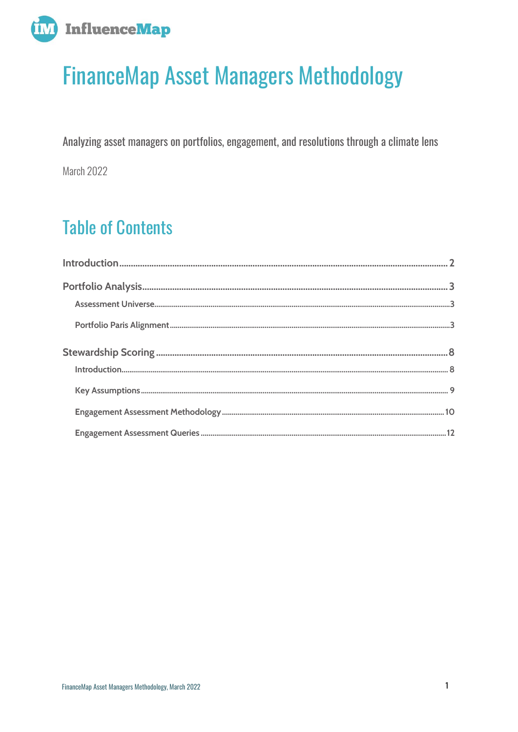

# **FinanceMap Asset Managers Methodology**

Analyzing asset managers on portfolios, engagement, and resolutions through a climate lens March 2022

## **Table of Contents**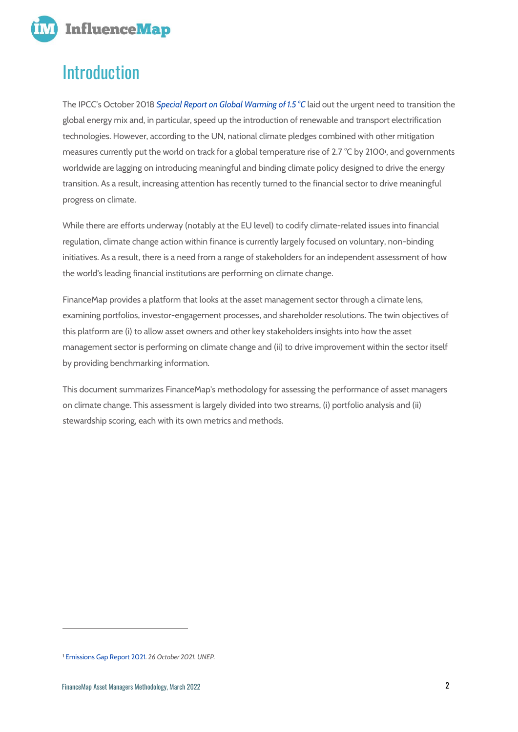

## <span id="page-1-0"></span>Introduction

The IPCC's October 2018 *[Special Report on Global Warming of 1.5](https://www.ipcc.ch/sr15/) °C* laid out the urgent need to transition the global energy mix and, in particular, speed up the introduction of renewable and transport electrification technologies. However, according to the UN, national climate pledges combined with other mitigation measures currently put the world on track for a global temperature rise of 2.7 °C by 2100*<sup>1</sup>* , and governments worldwide are lagging on introducing meaningful and binding climate policy designed to drive the energy transition. As a result, increasing attention has recently turned to the financial sector to drive meaningful progress on climate.

While there are efforts underway (notably at the EU level) to codify climate-related issues into financial regulation, climate change action within finance is currently largely focused on voluntary, non-binding initiatives. As a result, there is a need from a range of stakeholders for an independent assessment of how the world's leading financial institutions are performing on climate change.

FinanceMap provides a platform that looks at the asset management sector through a climate lens, examining portfolios, investor-engagement processes, and shareholder resolutions. The twin objectives of this platform are (i) to allow asset owners and other key stakeholders insights into how the asset management sector is performing on climate change and (ii) to drive improvement within the sector itself by providing benchmarking information.

This document summarizes FinanceMap's methodology for assessing the performance of asset managers on climate change. This assessment is largely divided into two streams, (i) portfolio analysis and (ii) stewardship scoring, each with its own metrics and methods.

<sup>1</sup> [Emissions Gap Report 2021](https://www.unep.org/resources/emissions-gap-report-2021)*. 26 October 2021. UNEP.*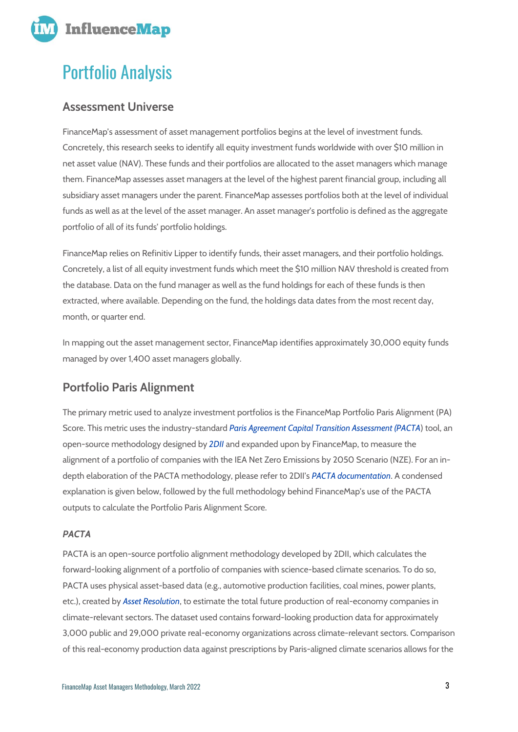

## <span id="page-2-0"></span>Portfolio Analysis

## <span id="page-2-1"></span>**Assessment Universe**

FinanceMap's assessment of asset management portfolios begins at the level of investment funds. Concretely, this research seeks to identify all equity investment funds worldwide with over \$10 million in net asset value (NAV). These funds and their portfolios are allocated to the asset managers which manage them. FinanceMap assesses asset managers at the level of the highest parent financial group, including all subsidiary asset managers under the parent. FinanceMap assesses portfolios both at the level of individual funds as well as at the level of the asset manager. An asset manager's portfolio is defined as the aggregate portfolio of all of its funds' portfolio holdings.

FinanceMap relies on Refinitiv Lipper to identify funds, their asset managers, and their portfolio holdings. Concretely, a list of all equity investment funds which meet the \$10 million NAV threshold is created from the database. Data on the fund manager as well as the fund holdings for each of these funds is then extracted, where available. Depending on the fund, the holdings data dates from the most recent day, month, or quarter end.

In mapping out the asset management sector, FinanceMap identifies approximately 30,000 equity funds managed by over 1,400 asset managers globally.

## <span id="page-2-2"></span>**Portfolio Paris Alignment**

The primary metric used to analyze investment portfolios is the FinanceMap Portfolio Paris Alignment (PA) Score. This metric uses the industry-standard *[Paris Agreement Capital Transition Assessment \(PACTA](https://www.transitionmonitor.com/)*) tool, an open-source methodology designed by *[2DII](https://2degrees-investing.org/)* and expanded upon by FinanceMap, to measure the alignment of a portfolio of companies with the IEA Net Zero Emissions by 2050 Scenario (NZE). For an indepth elaboration of the PACTA methodology, please refer to 2DII's *[PACTA documentation](https://www.transitionmonitor.com/pacta-for-investors/knowledge-hub-background-information/)*. A condensed explanation is given below, followed by the full methodology behind FinanceMap's use of the PACTA outputs to calculate the Portfolio Paris Alignment Score.

## *PACTA*

PACTA is an open-source portfolio alignment methodology developed by 2DII, which calculates the forward-looking alignment of a portfolio of companies with science-based climate scenarios. To do so, PACTA uses physical asset-based data (e.g., automotive production facilities, coal mines, power plants, etc.), created by *[Asset Resolution](https://asset-resolution.com/)*, to estimate the total future production of real-economy companies in climate-relevant sectors. The dataset used contains forward-looking production data for approximately 3,000 public and 29,000 private real-economy organizations across climate-relevant sectors. Comparison of this real-economy production data against prescriptions by Paris-aligned climate scenarios allows for the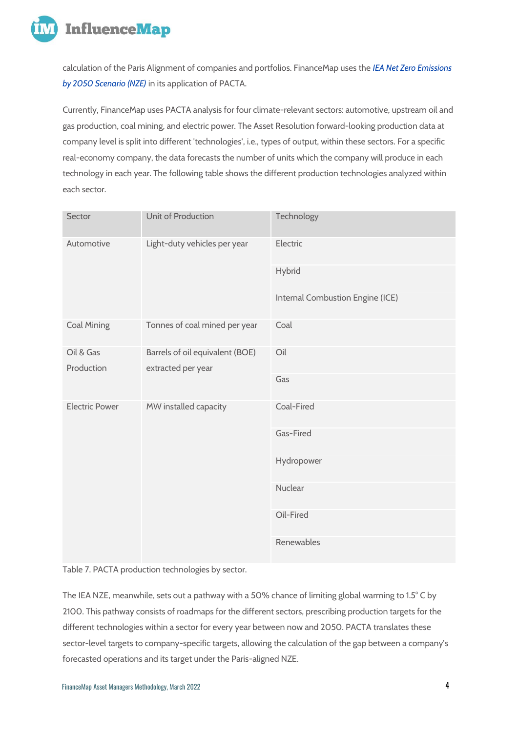

calculation of the Paris Alignment of companies and portfolios. FinanceMap uses the *[IEA Net Zero Emissions](https://www.iea.org/reports/world-energy-model/net-zero-emissions-by-2050-scenario-nze)  by [2050 Scenario \(NZE\)](https://www.iea.org/reports/world-energy-model/net-zero-emissions-by-2050-scenario-nze)* in its application of PACTA.

Currently, FinanceMap uses PACTA analysis for four climate-relevant sectors: automotive, upstream oil and gas production, coal mining, and electric power. The Asset Resolution forward-looking production data at company level is split into different 'technologies', i.e., types of output, within these sectors. For a specific real-economy company, the data forecasts the number of units which the company will produce in each technology in each year. The following table shows the different production technologies analyzed within each sector.

| Sector                                                                           | Unit of Production            | Technology                       |  |  |
|----------------------------------------------------------------------------------|-------------------------------|----------------------------------|--|--|
| Automotive                                                                       | Light-duty vehicles per year  | Electric                         |  |  |
|                                                                                  |                               | Hybrid                           |  |  |
|                                                                                  |                               | Internal Combustion Engine (ICE) |  |  |
| <b>Coal Mining</b>                                                               | Tonnes of coal mined per year | Coal                             |  |  |
| Oil & Gas<br>Barrels of oil equivalent (BOE)<br>Production<br>extracted per year |                               | Oil                              |  |  |
|                                                                                  |                               | Gas                              |  |  |
| <b>Electric Power</b>                                                            | MW installed capacity         | Coal-Fired                       |  |  |
|                                                                                  |                               | Gas-Fired                        |  |  |
|                                                                                  |                               | Hydropower                       |  |  |
|                                                                                  |                               | Nuclear                          |  |  |
|                                                                                  |                               | Oil-Fired                        |  |  |
|                                                                                  |                               | Renewables                       |  |  |

Table 7. PACTA production technologies by sector.

The IEA NZE, meanwhile, sets out a pathway with a 50% chance of limiting global warming to 1.5° C by 2100. This pathway consists of roadmaps for the different sectors, prescribing production targets for the different technologies within a sector for every year between now and 2050. PACTA translates these sector-level targets to company-specific targets, allowing the calculation of the gap between a company's forecasted operations and its target under the Paris-aligned NZE.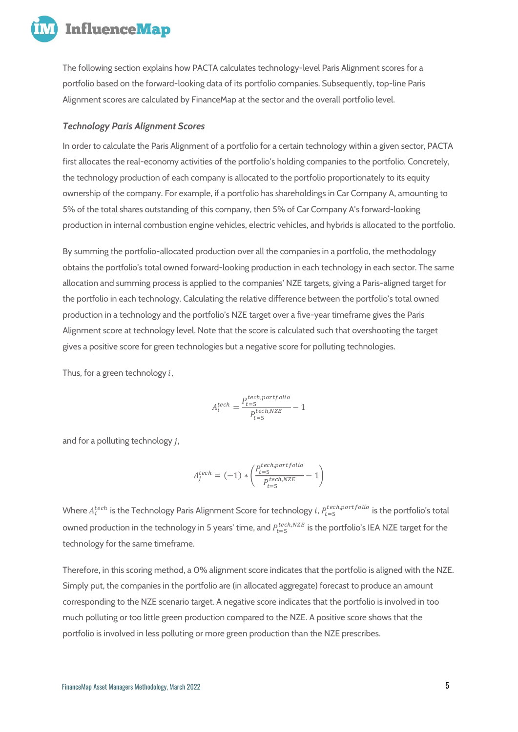

The following section explains how PACTA calculates technology-level Paris Alignment scores for a portfolio based on the forward-looking data of its portfolio companies. Subsequently, top-line Paris Alignment scores are calculated by FinanceMap at the sector and the overall portfolio level.

#### *Technology Paris Alignment Scores*

In order to calculate the Paris Alignment of a portfolio for a certain technology within a given sector, PACTA first allocates the real-economy activities of the portfolio's holding companies to the portfolio. Concretely, the technology production of each company is allocated to the portfolio proportionately to its equity ownership of the company. For example, if a portfolio has shareholdings in Car Company A, amounting to 5% of the total shares outstanding of this company, then 5% of Car Company A's forward-looking production in internal combustion engine vehicles, electric vehicles, and hybrids is allocated to the portfolio.

By summing the portfolio-allocated production over all the companies in a portfolio, the methodology obtains the portfolio's total owned forward-looking production in each technology in each sector. The same allocation and summing process is applied to the companies' NZE targets, giving a Paris-aligned target for the portfolio in each technology. Calculating the relative difference between the portfolio's total owned production in a technology and the portfolio's NZE target over a five-year timeframe gives the Paris Alignment score at technology level. Note that the score is calculated such that overshooting the target gives a positive score for green technologies but a negative score for polluting technologies.

Thus, for a green technology  $i$ ,

$$
A_i^{tech} = \frac{P_{t=5}^{tech, portfolio}}{P_{t=5}^{tech, NZE}} - 1
$$

and for a polluting technology  $j$ ,

$$
A_j^{tech} = (-1) * \left( \frac{P_{t=5}^{tech, portfolio}}{P_{t=5}^{tech, NZE}} - 1 \right)
$$

Where  $A^{tech}_i$  is the Technology Paris Alignment Score for technology  $i$ ,  $P^{tech, portfolio}_{t=5}$  is the portfolio's total owned production in the technology in 5 years' time, and  $P_{t=5}^{tech, NZE}$  is the portfolio's IEA NZE target for the technology for the same timeframe.

Therefore, in this scoring method, a 0% alignment score indicates that the portfolio is aligned with the NZE. Simply put, the companies in the portfolio are (in allocated aggregate) forecast to produce an amount corresponding to the NZE scenario target. A negative score indicates that the portfolio is involved in too much polluting or too little green production compared to the NZE. A positive score shows that the portfolio is involved in less polluting or more green production than the NZE prescribes.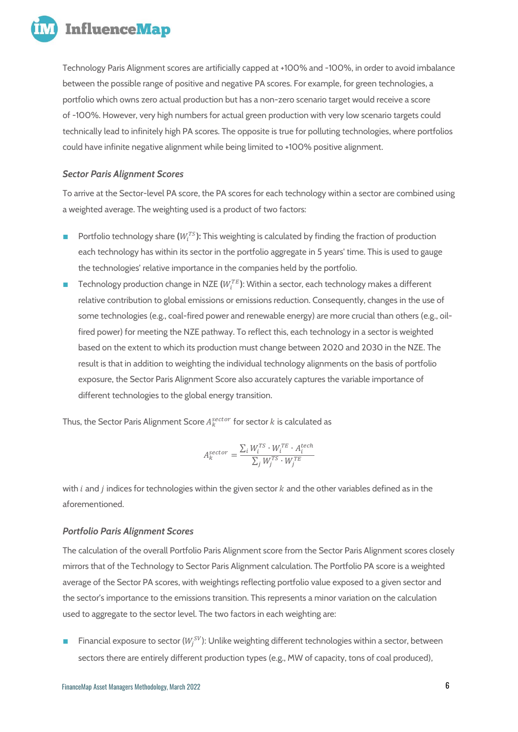

Technology Paris Alignment scores are artificially capped at +100% and -100%, in order to avoid imbalance between the possible range of positive and negative PA scores. For example, for green technologies, a portfolio which owns zero actual production but has a non-zero scenario target would receive a score of -100%. However, very high numbers for actual green production with very low scenario targets could technically lead to infinitely high PA scores. The opposite is true for polluting technologies, where portfolios could have infinite negative alignment while being limited to +100% positive alignment.

## *Sector Paris Alignment Scores*

To arrive at the Sector-level PA score, the PA scores for each technology within a sector are combined using a weighted average. The weighting used is a product of two factors:

- Portfolio technology share ( $W_i^{TS}$ ): This weighting is calculated by finding the fraction of production each technology has within its sector in the portfolio aggregate in 5 years' time. This is used to gauge the technologies' relative importance in the companies held by the portfolio.
- $\blacksquare$  Technology production change in NZE  $(W^{TE}_i)$ : Within a sector, each technology makes a different relative contribution to global emissions or emissions reduction. Consequently, changes in the use of some technologies (e.g., coal-fired power and renewable energy) are more crucial than others (e.g., oilfired power) for meeting the NZE pathway. To reflect this, each technology in a sector is weighted based on the extent to which its production must change between 2020 and 2030 in the NZE. The result is that in addition to weighting the individual technology alignments on the basis of portfolio exposure, the Sector Paris Alignment Score also accurately captures the variable importance of different technologies to the global energy transition.

Thus, the Sector Paris Alignment Score  $A_k^{sector}$  for sector  $k$  is calculated as

$$
A_k^{sector} = \frac{\sum_i W_i^{TS} \cdot W_i^{TE} \cdot A_i^{tech}}{\sum_j W_j^{TS} \cdot W_j^{TE}}
$$

with  $i$  and  $j$  indices for technologies within the given sector  $k$  and the other variables defined as in the aforementioned.

## *Portfolio Paris Alignment Scores*

The calculation of the overall Portfolio Paris Alignment score from the Sector Paris Alignment scores closely mirrors that of the Technology to Sector Paris Alignment calculation. The Portfolio PA score is a weighted average of the Sector PA scores, with weightings reflecting portfolio value exposed to a given sector and the sector's importance to the emissions transition. This represents a minor variation on the calculation used to aggregate to the sector level. The two factors in each weighting are:

 $\blacksquare$  Financial exposure to sector ( $W_j^{SV}$ ): Unlike weighting different technologies within a sector, between sectors there are entirely different production types (e.g., MW of capacity, tons of coal produced),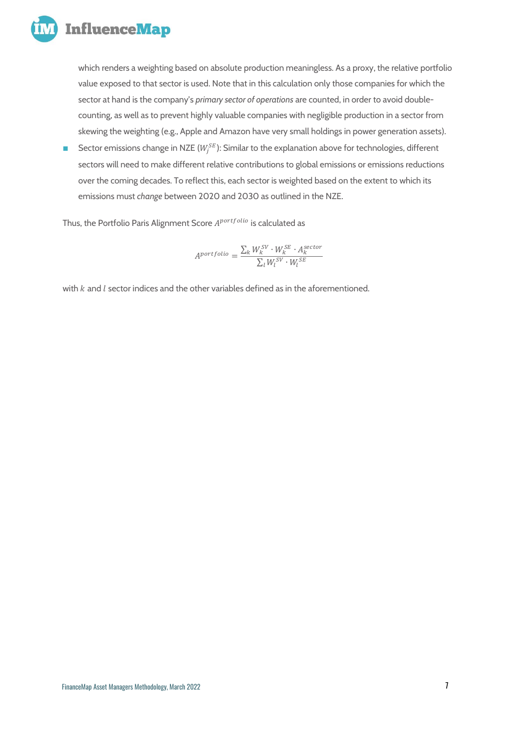

which renders a weighting based on absolute production meaningless. As a proxy, the relative portfolio value exposed to that sector is used. Note that in this calculation only those companies for which the sector at hand is the company's *primary sector of operations* are counted, in order to avoid doublecounting, as well as to prevent highly valuable companies with negligible production in a sector from skewing the weighting (e.g., Apple and Amazon have very small holdings in power generation assets).

■ Sector emissions change in NZE ( $W_j^{SE}$ ): Similar to the explanation above for technologies, different sectors will need to make different relative contributions to global emissions or emissions reductions over the coming decades. To reflect this, each sector is weighted based on the extent to which its emissions must *change* between 2020 and 2030 as outlined in the NZE.

Thus, the Portfolio Paris Alignment Score A<sup>portfolio</sup> is calculated as

$$
A^{portfolio} = \frac{\sum_{k} W_{k}^{SV} \cdot W_{k}^{SE} \cdot A_{k}^{sector}}{\sum_{l} W_{l}^{SV} \cdot W_{l}^{SE}}
$$

with  $k$  and  $l$  sector indices and the other variables defined as in the aforementioned.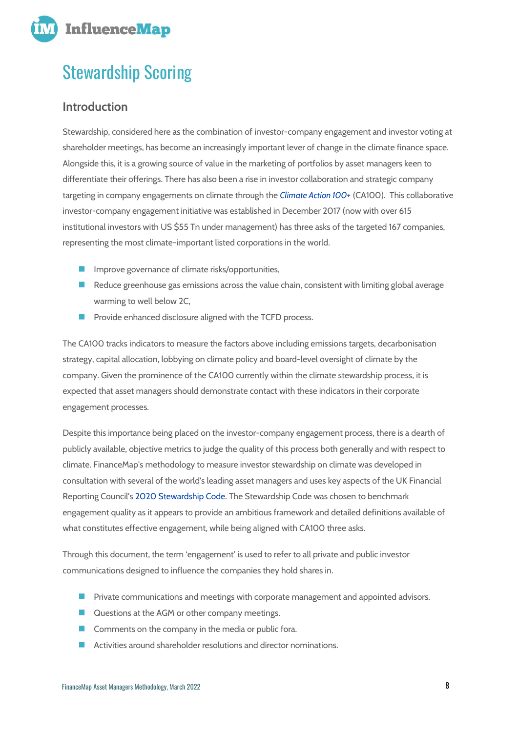

## <span id="page-7-0"></span>Stewardship Scoring

## <span id="page-7-1"></span>**Introduction**

Stewardship, considered here as the combination of investor-company engagement and investor voting at shareholder meetings, has become an increasingly important lever of change in the climate finance space. Alongside this, it is a growing source of value in the marketing of portfolios by asset managers keen to differentiate their offerings. There has also been a rise in investor collaboration and strategic company targeting in company engagements on climate through the *[Climate Action 100+](http://www.climateaction100.org/)* (CA100). This collaborative investor-company engagement initiative was established in December 2017 (now with over 615 institutional investors with US \$55 Tn under management) has three asks of the targeted 167 companies, representing the most climate-important listed corporations in the world.

- Improve governance of climate risks/opportunities,
- $\blacksquare$  Reduce greenhouse gas emissions across the value chain, consistent with limiting global average warming to well below 2C,
- Provide enhanced disclosure aligned with the TCFD process.

The CA100 tracks indicators to measure the factors above including emissions targets, decarbonisation strategy, capital allocation, lobbying on climate policy and board-level oversight of climate by the company. Given the prominence of the CA100 currently within the climate stewardship process, it is expected that asset managers should demonstrate contact with these indicators in their corporate engagement processes.

Despite this importance being placed on the investor-company engagement process, there is a dearth of publicly available, objective metrics to judge the quality of this process both generally and with respect to climate. FinanceMap's methodology to measure investor stewardship on climate was developed in consultation with several of the world's leading asset managers and uses key aspects of the UK Financial Reporting Council'[s 2020 Stewardship Code.](https://www.frc.org.uk/investors/uk-stewardship-code/2020-uk-stewardship-code-(1)) The Stewardship Code was chosen to benchmark engagement quality as it appears to provide an ambitious framework and detailed definitions available of what constitutes effective engagement, while being aligned with CA100 three asks.

Through this document, the term 'engagement' is used to refer to all private and public investor communications designed to influence the companies they hold shares in.

- Private communications and meetings with corporate management and appointed advisors.
- Questions at the AGM or other company meetings.
- Comments on the company in the media or public fora.
- Activities around shareholder resolutions and director nominations.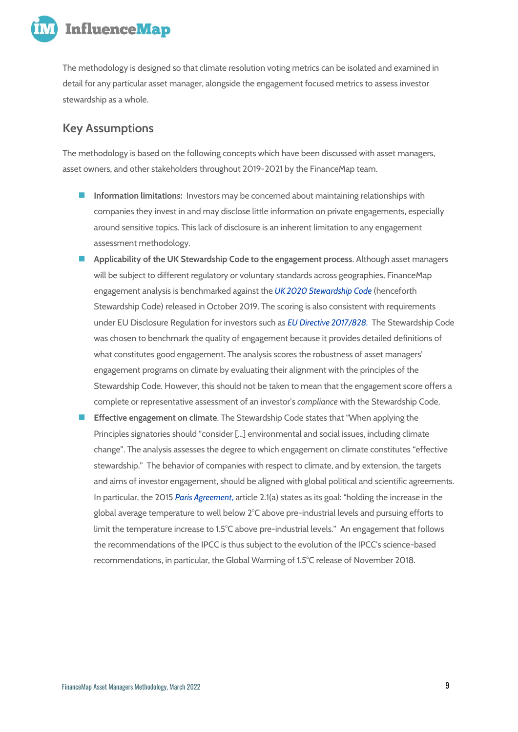

The methodology is designed so that climate resolution voting metrics can be isolated and examined in detail for any particular asset manager, alongside the engagement focused metrics to assess investor stewardship as a whole.

## <span id="page-8-0"></span>**Key Assumptions**

The methodology is based on the following concepts which have been discussed with asset managers, asset owners, and other stakeholders throughout 2019-2021 by the FinanceMap team.

- ◼ **Information limitations:** Investors may be concerned about maintaining relationships with companies they invest in and may disclose little information on private engagements, especially around sensitive topics. This lack of disclosure is an inherent limitation to any engagement assessment methodology.
- ◼ **Applicability of the UK Stewardship Code to the engagement process**. Although asset managers will be subject to different regulatory or voluntary standards across geographies, FinanceMap engagement analysis is benchmarked against the *[UK 2020 Stewardship Code](https://www.frc.org.uk/investors/uk-stewardship-code)* (henceforth Stewardship Code) released in October 2019. The scoring is also consistent with requirements under EU Disclosure Regulation for investors such as *[EU Directive 2017/828.](https://op.europa.eu/en/publication-detail/-/publication/9b871b38-3d20-11e7-a08e-01aa75ed71a1/language-en)* The Stewardship Code was chosen to benchmark the quality of engagement because it provides detailed definitions of what constitutes good engagement. The analysis scores the robustness of asset managers' engagement programs on climate by evaluating their alignment with the principles of the Stewardship Code. However, this should not be taken to mean that the engagement score offers a complete or representative assessment of an investor's *compliance* with the Stewardship Code.
- **Effective engagement on climate**. The Stewardship Code states that "When applying the Principles signatories should "consider […] environmental and social issues, including climate change". The analysis assesses the degree to which engagement on climate constitutes "effective stewardship." The behavior of companies with respect to climate, and by extension, the targets and aims of investor engagement, should be aligned with global political and scientific agreements. In particular, the 2015 *[Paris Agreement](https://unfccc.int/process-and-meetings/the-paris-agreement/the-paris-agreement)*, article 2.1(a) states as its goal: "holding the increase in the global average temperature to well below 2°C above pre-industrial levels and pursuing efforts to limit the temperature increase to 1.5°C above pre-industrial levels." An engagement that follows the recommendations of the IPCC is thus subject to the evolution of the IPCC's science-based recommendations, in particular, the Global Warming of 1.5°C release of November 2018.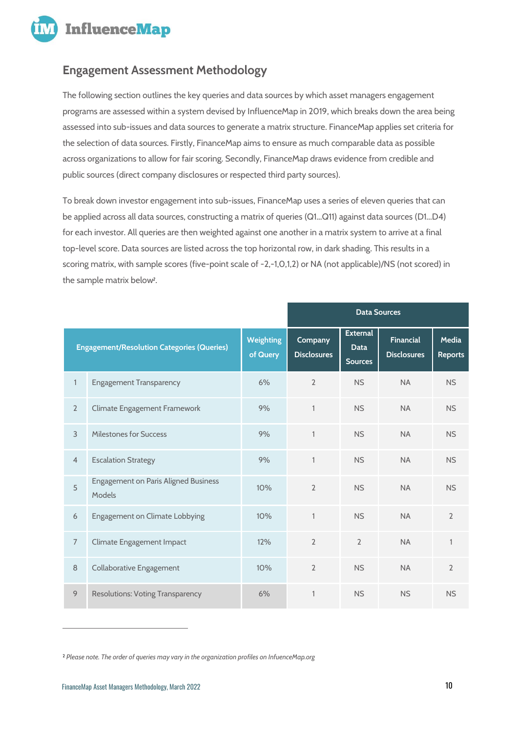

## <span id="page-9-0"></span>**Engagement Assessment Methodology**

The following section outlines the key queries and data sources by which asset managers engagement programs are assessed within a system devised by InfluenceMap in 2019, which breaks down the area being assessed into sub-issues and data sources to generate a matrix structure. FinanceMap applies set criteria for the selection of data sources. Firstly, FinanceMap aims to ensure as much comparable data as possible across organizations to allow for fair scoring. Secondly, FinanceMap draws evidence from credible and public sources (direct company disclosures or respected third party sources).

To break down investor engagement into sub-issues, FinanceMap uses a series of eleven queries that can be applied across all data sources, constructing a matrix of queries (Q1...Q11) against data sources (D1...D4) for each investor. All queries are then weighted against one another in a matrix system to arrive at a final top-level score. Data sources are listed across the top horizontal row, in dark shading. This results in a scoring matrix, with sample scores (five-point scale of -2,-1,0,1,2) or NA (not applicable)/NS (not scored) in the sample matrix below*<sup>2</sup>* .

|                                                   |                                                       |                              | <b>Data Sources</b>           |                                                  |                                        |                         |
|---------------------------------------------------|-------------------------------------------------------|------------------------------|-------------------------------|--------------------------------------------------|----------------------------------------|-------------------------|
| <b>Engagement/Resolution Categories (Queries)</b> |                                                       | <b>Weighting</b><br>of Query | Company<br><b>Disclosures</b> | <b>External</b><br><b>Data</b><br><b>Sources</b> | <b>Financial</b><br><b>Disclosures</b> | Media<br><b>Reports</b> |
| 1                                                 | <b>Engagement Transparency</b>                        | 6%                           | $\overline{2}$                | <b>NS</b>                                        | <b>NA</b>                              | <b>NS</b>               |
| $\overline{2}$                                    | Climate Engagement Framework                          | 9%                           | $\mathbf{1}$                  | <b>NS</b>                                        | <b>NA</b>                              | <b>NS</b>               |
| $\overline{3}$                                    | Milestones for Success                                | 9%                           | $\mathbf{1}$                  | <b>NS</b>                                        | <b>NA</b>                              | <b>NS</b>               |
| $\overline{4}$                                    | <b>Escalation Strategy</b>                            | 9%                           | $\mathbf{1}$                  | <b>NS</b>                                        | <b>NA</b>                              | <b>NS</b>               |
| 5                                                 | <b>Engagement on Paris Aligned Business</b><br>Models | 10%                          | $\overline{2}$                | <b>NS</b>                                        | <b>NA</b>                              | <b>NS</b>               |
| 6                                                 | Engagement on Climate Lobbying                        | 10%                          | $\mathbf{1}$                  | <b>NS</b>                                        | <b>NA</b>                              | $\overline{2}$          |
| $\overline{7}$                                    | Climate Engagement Impact                             | 12%                          | $\mathfrak{D}$                | $\overline{2}$                                   | <b>NA</b>                              | $\mathbf{1}$            |
| 8                                                 | Collaborative Engagement                              | 10%                          | $\overline{2}$                | <b>NS</b>                                        | <b>NA</b>                              | $\overline{2}$          |
| 9                                                 | <b>Resolutions: Voting Transparency</b>               | 6%                           | $\mathbf{1}$                  | <b>NS</b>                                        | <b>NS</b>                              | <b>NS</b>               |

<sup>2</sup> *Please note. The order of queries may vary in the organization profiles on InfuenceMap.org*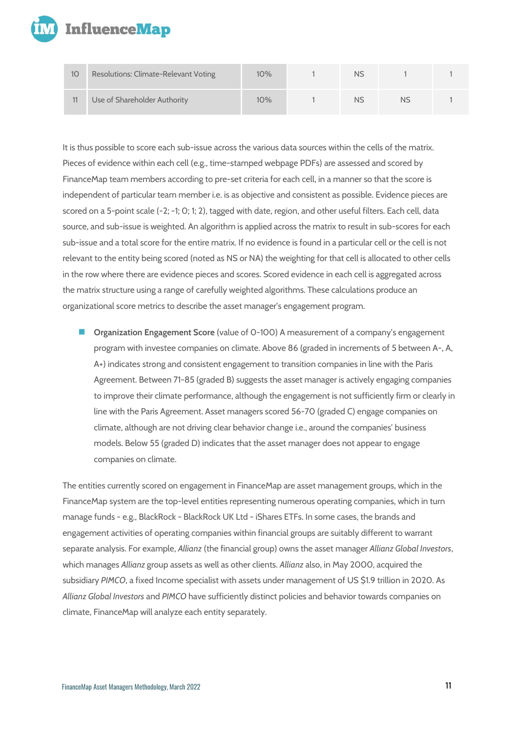

| 10 | Resolutions: Climate-Relevant Voting | 10% | NS |    |  |
|----|--------------------------------------|-----|----|----|--|
|    | Use of Shareholder Authority         | 10% | NS | NS |  |

It is thus possible to score each sub-issue across the various data sources within the cells of the matrix. Pieces of evidence within each cell (e.g., time-stamped webpage PDFs) are assessed and scored by FinanceMap team members according to pre-set criteria for each cell, in a manner so that the score is independent of particular team member i.e. is as objective and consistent as possible. Evidence pieces are scored on a 5-point scale (-2; -1; 0; 1; 2), tagged with date, region, and other useful filters. Each cell, data source, and sub-issue is weighted. An algorithm is applied across the matrix to result in sub-scores for each sub-issue and a total score for the entire matrix. If no evidence is found in a particular cell or the cell is not relevant to the entity being scored (noted as NS or NA) the weighting for that cell is allocated to other cells in the row where there are evidence pieces and scores. Scored evidence in each cell is aggregated across the matrix structure using a range of carefully weighted algorithms. These calculations produce an organizational score metrics to describe the asset manager's engagement program.

■ **Organization Engagement Score** (value of 0-100) A measurement of a company's engagement program with investee companies on climate. Above 86 (graded in increments of 5 between A-, A, A+) indicates strong and consistent engagement to transition companies in line with the Paris Agreement. Between 71-85 (graded B) suggests the asset manager is actively engaging companies to improve their climate performance, although the engagement is not sufficiently firm or clearly in line with the Paris Agreement. Asset managers scored 56-70 (graded C) engage companies on climate, although are not driving clear behavior change i.e., around the companies' business models. Below 55 (graded D) indicates that the asset manager does not appear to engage companies on climate.

The entities currently scored on engagement in FinanceMap are asset management groups, which in the FinanceMap system are the top-level entities representing numerous operating companies, which in turn manage funds - e.g., BlackRock - BlackRock UK Ltd - iShares ETFs. In some cases, the brands and engagement activities of operating companies within financial groups are suitably different to warrant separate analysis. For example, *Allianz* (the financial group) owns the asset manager *Allianz Global Investors*, which manages *Allianz* group assets as well as other clients. *Allianz* also, in May 2000, acquired the subsidiary *PIMCO*, a fixed Income specialist with assets under management of US \$1.9 trillion in 2020. As *Allianz Global Investors* and *PIMCO* have sufficiently distinct policies and behavior towards companies on climate, FinanceMap will analyze each entity separately.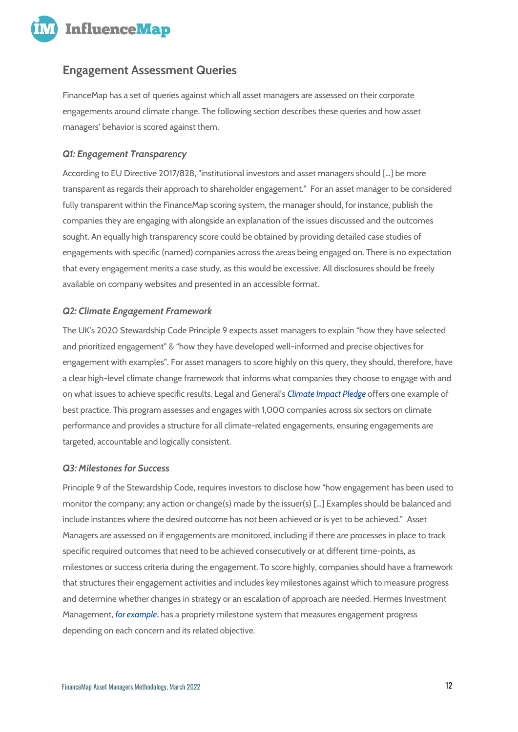

## <span id="page-11-0"></span>**Engagement Assessment Queries**

FinanceMap has a set of queries against which all asset managers are assessed on their corporate engagements around climate change. The following section describes these queries and how asset managers' behavior is scored against them.

## *Q1: Engagement Transparency*

According to EU Directive 2017/828, "institutional investors and asset managers should […] be more transparent as regards their approach to shareholder engagement." For an asset manager to be considered fully transparent within the FinanceMap scoring system, the manager should, for instance, publish the companies they are engaging with alongside an explanation of the issues discussed and the outcomes sought. An equally high transparency score could be obtained by providing detailed case studies of engagements with specific (named) companies across the areas being engaged on. There is no expectation that every engagement merits a case study, as this would be excessive. All disclosures should be freely available on company websites and presented in an accessible format.

## *Q2: Climate Engagement Framework*

The UK's 2020 Stewardship Code Principle 9 expects asset managers to explain "how they have selected and prioritized engagement" & "how they have developed well-informed and precise objectives for engagement with examples". For asset managers to score highly on this query, they should, therefore, have a clear high-level climate change framework that informs what companies they choose to engage with and on what issues to achieve specific results. Legal and General's *[Climate Impact Pledge](https://www.lgim.com/uk/en/insights/our-thinking/market-insights/lgims-climate-impact-pledge-the-results-so-far.html)* offers one example of best practice. This program assesses and engages with 1,000 companies across six sectors on climate performance and provides a structure for all climate-related engagements, ensuring engagements are targeted, accountable and logically consistent.

#### *Q3: Milestones for Success*

Principle 9 of the Stewardship Code, requires investors to disclose how "how engagement has been used to monitor the company; any action or change(s) made by the issuer(s) […] Examples should be balanced and include instances where the desired outcome has not been achieved or is yet to be achieved." Asset Managers are assessed on if engagements are monitored, including if there are processes in place to track specific required outcomes that need to be achieved consecutively or at different time-points, as milestones or success criteria during the engagement. To score highly, companies should have a framework that structures their engagement activities and includes key milestones against which to measure progress and determine whether changes in strategy or an escalation of approach are needed. Hermes Investment Management, *[for example](https://influencemap.org/evidence/-1e6f357e8de3242eec2faa5921dfd6bf)*, has [a propriety milestone system](https://influencemap.org/score/Hermes-Investment-Management-Q4-D1-e7a8fbcc923307db9c9c07d282cdb819) that measures engagement progress depending on each concern and its related objective.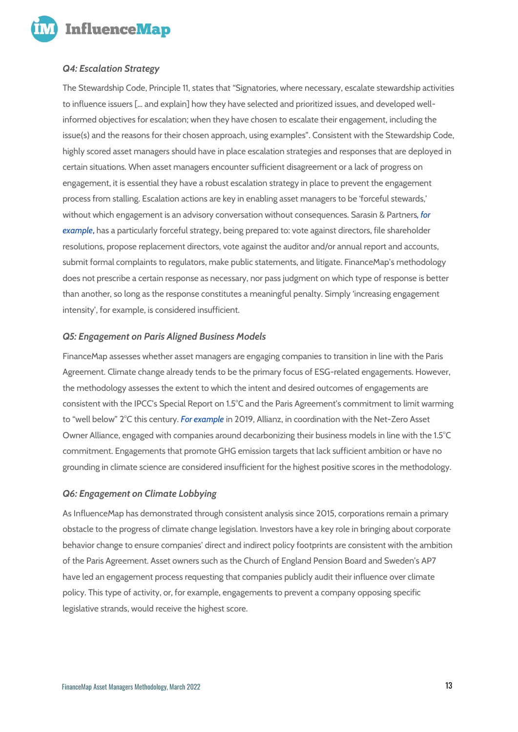

## *Q4: Escalation Strategy*

The Stewardship Code, Principle 11, states that "Signatories, where necessary, escalate stewardship activities to influence issuers [… and explain] how they have selected and prioritized issues, and developed wellinformed objectives for escalation; when they have chosen to escalate their engagement, including the issue(s) and the reasons for their chosen approach, using examples". Consistent with the Stewardship Code, highly scored asset managers should have in place escalation strategies and responses that are deployed in certain situations. When asset managers encounter sufficient disagreement or a lack of progress on engagement, it is essential they have a robust escalation strategy in place to prevent the engagement process from stalling. Escalation actions are key in enabling asset managers to be 'forceful stewards,' without which engagement is an advisory conversation without consequences. Sarasin & Partners*[, for](https://influencemap.org/evidence/Has-a-robust-escalation-strategy-3684f9873c563b06aa7b3e1fffb1410b)  [example](https://influencemap.org/evidence/Has-a-robust-escalation-strategy-3684f9873c563b06aa7b3e1fffb1410b)*, has a particularl[y forceful strategy,](https://influencemap.org/score/Sarasin-Partners-Q5-D1-df6bfca8885948f6bfa384dc7fd8d403) being prepared to: vote against directors, file shareholder resolutions, propose replacement directors, vote against the auditor and/or annual report and accounts, submit formal complaints to regulators, make public statements, and litigate. FinanceMap's methodology does not prescribe a certain response as necessary, nor pass judgment on which type of response is better than another, so long as the response constitutes a meaningful penalty. Simply 'increasing engagement intensity', for example, is considered insufficient.

## *Q5: Engagement on Paris Aligned Business Models*

FinanceMap assesses whether asset managers are engaging companies to transition in line with the Paris Agreement. Climate change already tends to be the primary focus of ESG-related engagements. However, the methodology assesses the extent to which the intent and desired outcomes of engagements are consistent with the IPCC's Special Report on 1.5°C and the Paris Agreement's commitment to limit warming to "well below" 2°C this century. *[For example](https://influencemap.org/evidence/Engaging-companies-to-transition-business-models-in-line-with-the-Paris-Agreement-596e786999a0d8174e6f12b74beda575)* in 2019, Allianz, in coordination with the Net-Zero Asset Owner Alliance, engaged with companies around decarbonizing their business models in line with the 1.5°C commitment. Engagements that promote GHG emission targets that lack sufficient ambition or have no grounding in climate science are considered insufficient for the highest positive scores in the methodology.

#### *Q6: Engagement on Climate Lobbying*

As InfluenceMap has demonstrated through consistent analysis since 2015, corporations remain a primary obstacle to the progress of climate change legislation. Investors have a key role in bringing about corporate behavior change to ensure companies' direct and indirect policy footprints are consistent with the ambition of the Paris Agreement. Asset owners such as the Church of England Pension Board and Sweden's AP7 have led an engagement process requesting that companies publicly audit their influence over climate policy. This type of activity, or, for example, engagements to prevent a company opposing specific legislative strands, would receive the highest score.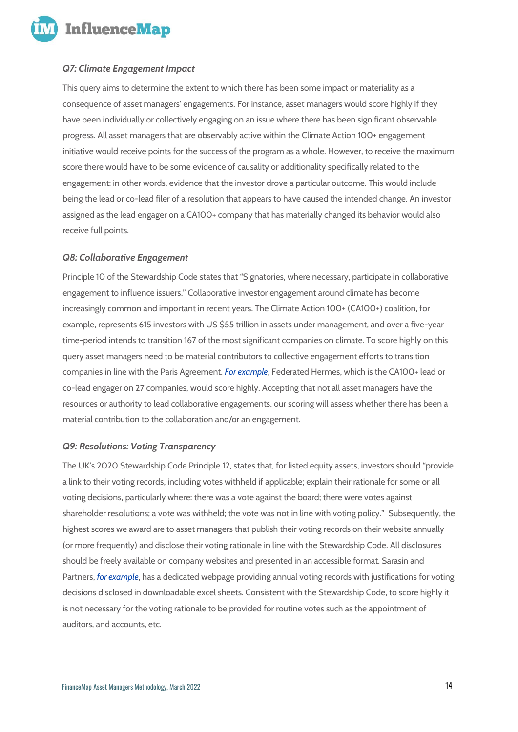**InfluenceMap** 

## *Q7: Climate Engagement Impact*

This query aims to determine the extent to which there has been some impact or materiality as a consequence of asset managers' engagements. For instance, asset managers would score highly if they have been individually or collectively engaging on an issue where there has been significant observable progress. All asset managers that are observably active within the Climate Action 100+ engagement initiative would receive points for the success of the program as a whole. However, to receive the maximum score there would have to be some evidence of causality or additionality specifically related to the engagement: in other words, evidence that the investor drove a particular outcome. This would include being the lead or co-lead filer of a resolution that appears to have caused the intended change. An investor assigned as the lead engager on a CA100+ company that has materially changed its behavior would also receive full points.

#### *Q8: Collaborative Engagement*

Principle 10 of the Stewardship Code states that "Signatories, where necessary, participate in collaborative engagement to influence issuers." Collaborative investor engagement around climate has become increasingly common and important in recent years. The Climate Action 100+ (CA100+) coalition, for example, represents 615 investors with US \$55 trillion in assets under management, and over a five-year time-period intends to transition 167 of the most significant companies on climate. To score highly on this query asset managers need to be material contributors to collective engagement efforts to transition companies in line with the Paris Agreement. *[For example](https://influencemap.org/evidence/-34f35f06108fc36dcb2c8b7998106399)*, Federated Hermes, which is the CA100+ lead or co-lead engager on 27 companies, would score highly. Accepting that not all asset managers have the resources or authority to lead collaborative engagements, our scoring will assess whether there has been a material contribution to the collaboration and/or an engagement.

#### *Q9: Resolutions: Voting Transparency*

The UK's 2020 Stewardship Code Principle 12, states that, for listed equity assets, investors should "provide a link to their voting records, including votes withheld if applicable; explain their rationale for some or all voting decisions, particularly where: there was a vote against the board; there were votes against shareholder resolutions; a vote was withheld; the vote was not in line with voting policy." Subsequently, the highest scores we award are to asset managers that publish their voting records on their website annually (or more frequently) and disclose their voting rationale in line with the Stewardship Code. All disclosures should be freely available on company websites and presented in an accessible format. Sarasin and Partners, *[for example](https://influencemap.org/score/Sarasin-Partners-Q2-D1-5d8c1660601dccad2c93afba64ddc231)*, has a dedicated webpage providing annual voting records with justifications for voting decisions disclosed in downloadable excel sheets. Consistent with the Stewardship Code, to score highly it is not necessary for the voting rationale to be provided for routine votes such as the appointment of auditors, and accounts, etc.